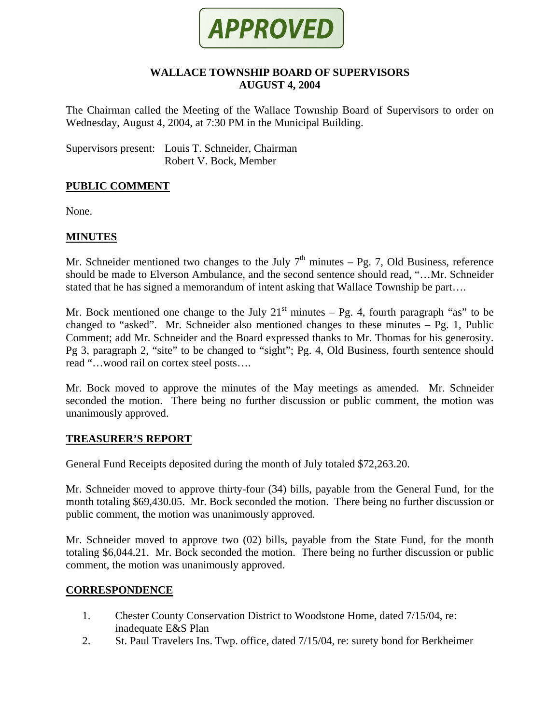

### **WALLACE TOWNSHIP BOARD OF SUPERVISORS AUGUST 4, 2004**

The Chairman called the Meeting of the Wallace Township Board of Supervisors to order on Wednesday, August 4, 2004, at 7:30 PM in the Municipal Building.

Supervisors present: Louis T. Schneider, Chairman Robert V. Bock, Member

# **PUBLIC COMMENT**

None.

# **MINUTES**

Mr. Schneider mentioned two changes to the July  $7<sup>th</sup>$  minutes – Pg. 7, Old Business, reference should be made to Elverson Ambulance, and the second sentence should read, "…Mr. Schneider stated that he has signed a memorandum of intent asking that Wallace Township be part….

Mr. Bock mentioned one change to the July  $21<sup>st</sup>$  minutes – Pg. 4, fourth paragraph "as" to be changed to "asked". Mr. Schneider also mentioned changes to these minutes – Pg. 1, Public Comment; add Mr. Schneider and the Board expressed thanks to Mr. Thomas for his generosity. Pg 3, paragraph 2, "site" to be changed to "sight"; Pg. 4, Old Business, fourth sentence should read "…wood rail on cortex steel posts….

Mr. Bock moved to approve the minutes of the May meetings as amended. Mr. Schneider seconded the motion. There being no further discussion or public comment, the motion was unanimously approved.

#### **TREASURER'S REPORT**

General Fund Receipts deposited during the month of July totaled \$72,263.20.

Mr. Schneider moved to approve thirty-four (34) bills, payable from the General Fund, for the month totaling \$69,430.05. Mr. Bock seconded the motion. There being no further discussion or public comment, the motion was unanimously approved.

Mr. Schneider moved to approve two (02) bills, payable from the State Fund, for the month totaling \$6,044.21. Mr. Bock seconded the motion. There being no further discussion or public comment, the motion was unanimously approved.

#### **CORRESPONDENCE**

- 1. Chester County Conservation District to Woodstone Home, dated 7/15/04, re: inadequate E&S Plan
- 2. St. Paul Travelers Ins. Twp. office, dated 7/15/04, re: surety bond for Berkheimer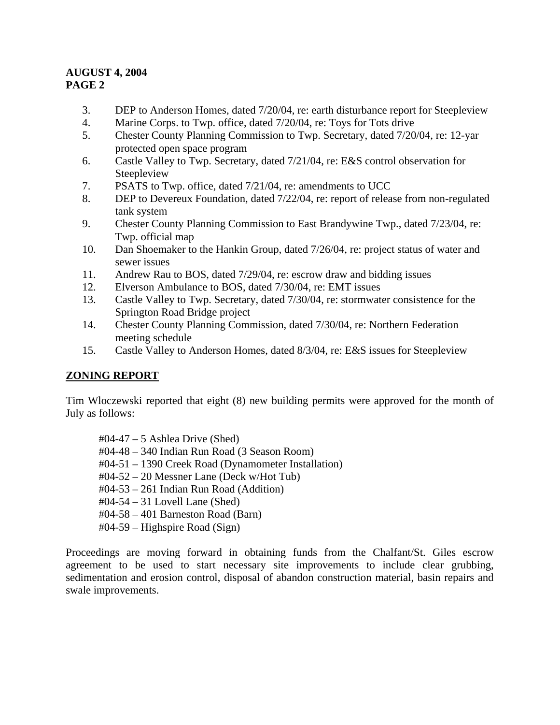- 3. DEP to Anderson Homes, dated 7/20/04, re: earth disturbance report for Steepleview
- 4. Marine Corps. to Twp. office, dated 7/20/04, re: Toys for Tots drive
- 5. Chester County Planning Commission to Twp. Secretary, dated 7/20/04, re: 12-yar protected open space program
- 6. Castle Valley to Twp. Secretary, dated 7/21/04, re: E&S control observation for Steepleview
- 7. PSATS to Twp. office, dated 7/21/04, re: amendments to UCC
- 8. DEP to Devereux Foundation, dated 7/22/04, re: report of release from non-regulated tank system
- 9. Chester County Planning Commission to East Brandywine Twp., dated 7/23/04, re: Twp. official map
- 10. Dan Shoemaker to the Hankin Group, dated 7/26/04, re: project status of water and sewer issues
- 11. Andrew Rau to BOS, dated 7/29/04, re: escrow draw and bidding issues
- 12. Elverson Ambulance to BOS, dated 7/30/04, re: EMT issues
- 13. Castle Valley to Twp. Secretary, dated 7/30/04, re: stormwater consistence for the Springton Road Bridge project
- 14. Chester County Planning Commission, dated 7/30/04, re: Northern Federation meeting schedule
- 15. Castle Valley to Anderson Homes, dated 8/3/04, re: E&S issues for Steepleview

# **ZONING REPORT**

Tim Wloczewski reported that eight (8) new building permits were approved for the month of July as follows:

- #04-47 5 Ashlea Drive (Shed)
- #04-48 340 Indian Run Road (3 Season Room)
- #04-51 1390 Creek Road (Dynamometer Installation)
- #04-52 20 Messner Lane (Deck w/Hot Tub)
- #04-53 261 Indian Run Road (Addition)
- #04-54 31 Lovell Lane (Shed)
- #04-58 401 Barneston Road (Barn)
- #04-59 Highspire Road (Sign)

Proceedings are moving forward in obtaining funds from the Chalfant/St. Giles escrow agreement to be used to start necessary site improvements to include clear grubbing, sedimentation and erosion control, disposal of abandon construction material, basin repairs and swale improvements.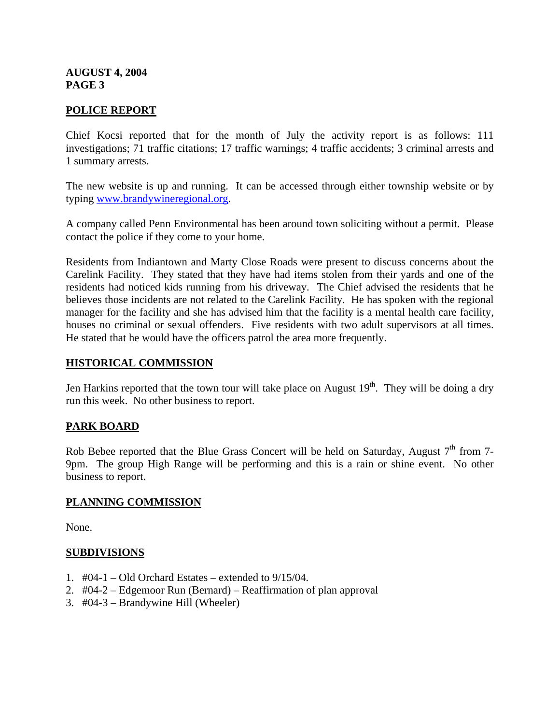# **POLICE REPORT**

Chief Kocsi reported that for the month of July the activity report is as follows: 111 investigations; 71 traffic citations; 17 traffic warnings; 4 traffic accidents; 3 criminal arrests and 1 summary arrests.

The new website is up and running. It can be accessed through either township website or by typing [www.brandywineregional.org.](http://www.brandywineregional.org/)

A company called Penn Environmental has been around town soliciting without a permit. Please contact the police if they come to your home.

Residents from Indiantown and Marty Close Roads were present to discuss concerns about the Carelink Facility. They stated that they have had items stolen from their yards and one of the residents had noticed kids running from his driveway. The Chief advised the residents that he believes those incidents are not related to the Carelink Facility. He has spoken with the regional manager for the facility and she has advised him that the facility is a mental health care facility, houses no criminal or sexual offenders. Five residents with two adult supervisors at all times. He stated that he would have the officers patrol the area more frequently.

#### **HISTORICAL COMMISSION**

Jen Harkins reported that the town tour will take place on August  $19<sup>th</sup>$ . They will be doing a dry run this week. No other business to report.

#### **PARK BOARD**

Rob Bebee reported that the Blue Grass Concert will be held on Saturday, August  $7<sup>th</sup>$  from 7-9pm. The group High Range will be performing and this is a rain or shine event. No other business to report.

#### **PLANNING COMMISSION**

None.

#### **SUBDIVISIONS**

- 1.  $\#04-1 Old$  Orchard Estates extended to 9/15/04.
- 2. #04-2 Edgemoor Run (Bernard) Reaffirmation of plan approval
- 3. #04-3 Brandywine Hill (Wheeler)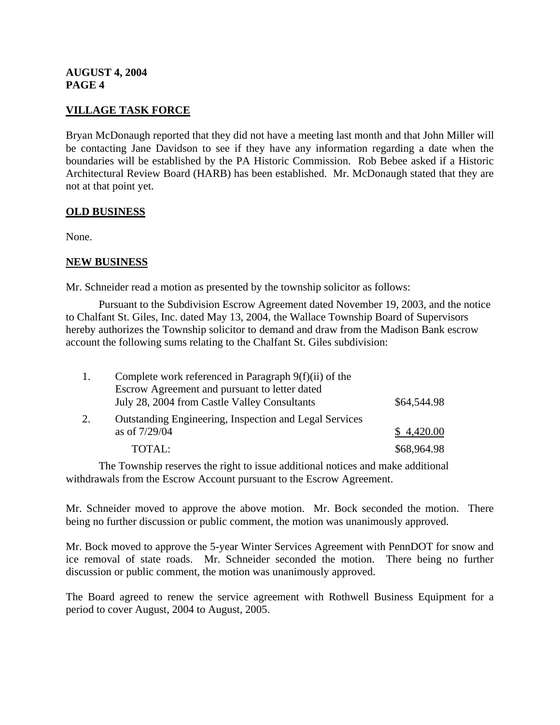# **VILLAGE TASK FORCE**

Bryan McDonaugh reported that they did not have a meeting last month and that John Miller will be contacting Jane Davidson to see if they have any information regarding a date when the boundaries will be established by the PA Historic Commission. Rob Bebee asked if a Historic Architectural Review Board (HARB) has been established. Mr. McDonaugh stated that they are not at that point yet.

# **OLD BUSINESS**

None.

# **NEW BUSINESS**

Mr. Schneider read a motion as presented by the township solicitor as follows:

 Pursuant to the Subdivision Escrow Agreement dated November 19, 2003, and the notice to Chalfant St. Giles, Inc. dated May 13, 2004, the Wallace Township Board of Supervisors hereby authorizes the Township solicitor to demand and draw from the Madison Bank escrow account the following sums relating to the Chalfant St. Giles subdivision:

|    | Complete work referenced in Paragraph $9(f)(ii)$ of the       |             |
|----|---------------------------------------------------------------|-------------|
|    | Escrow Agreement and pursuant to letter dated                 |             |
|    | July 28, 2004 from Castle Valley Consultants                  | \$64,544.98 |
| 2. | <b>Outstanding Engineering, Inspection and Legal Services</b> |             |
|    | as of 7/29/04                                                 | \$4,420.00  |
|    | TOTAL:                                                        | \$68,964.98 |

 The Township reserves the right to issue additional notices and make additional withdrawals from the Escrow Account pursuant to the Escrow Agreement.

Mr. Schneider moved to approve the above motion. Mr. Bock seconded the motion. There being no further discussion or public comment, the motion was unanimously approved.

Mr. Bock moved to approve the 5-year Winter Services Agreement with PennDOT for snow and ice removal of state roads. Mr. Schneider seconded the motion. There being no further discussion or public comment, the motion was unanimously approved.

The Board agreed to renew the service agreement with Rothwell Business Equipment for a period to cover August, 2004 to August, 2005.